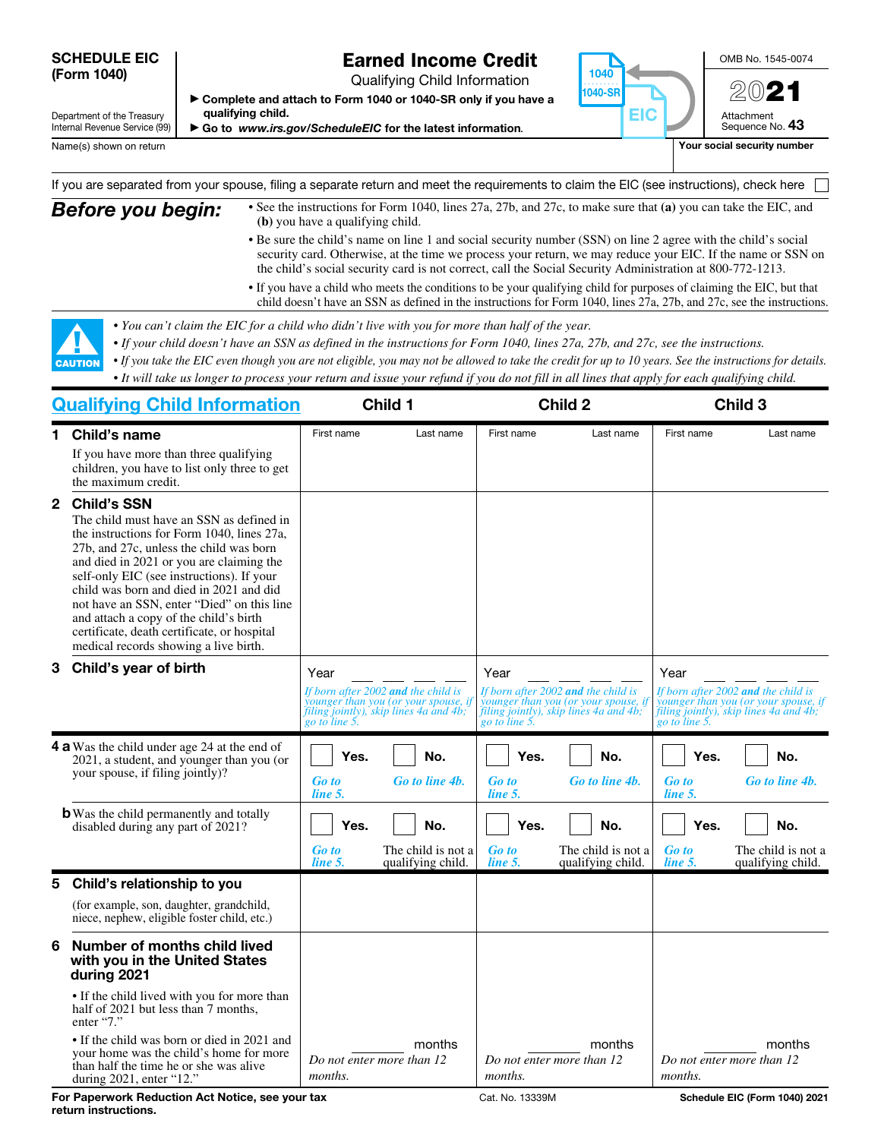#### SCHEDULE EIC (Form 1040)

## Earned Income Credit

Qualifying Child Information

▶ Complete and attach to Form 1040 or 1040-SR only if you have a qualifying child.

▶ Go to *www.irs.gov/ScheduleEIC* for the latest information*.*



OMB No. 1545-0074 2021

Attachment Sequence No. 43

Department of the Treasury Internal Revenue Service (99)

Name(s) shown on return **Your social security number**  $\blacksquare$  Your social security number

If you are separated from your spouse, filing a separate return and meet the requirements to claim the EIC (see instructions), check here

**Before you begin:** • See the instructions for Form 1040, lines 27a, 27b, and 27c, to make sure that (a) you can take the EIC, and **(b)** you have a qualifying child. • Be sure the child's name on line 1 and social security number (SSN) on line 2 agree with the child's social

- security card. Otherwise, at the time we process your return, we may reduce your EIC. If the name or SSN on the child's social security card is not correct, call the Social Security Administration at 800-772-1213.
- If you have a child who meets the conditions to be your qualifying child for purposes of claiming the EIC, but that child doesn't have an SSN as defined in the instructions for Form 1040, lines 27a, 27b, and 27c, see the instructions.
- *You can't claim the EIC for a child who didn't live with you for more than half of the year.*
- *If your child doesn't have an SSN as defined in the instructions for Form 1040, lines 27a, 27b, and 27c, see the instructions.*
- *If you take the EIC even though you are not eligible, you may not be allowed to take the credit for up to 10 years. See the instructions for details.*
- ▲! CAUTION *• It will take us longer to process your return and issue your refund if you do not fill in all lines that apply for each qualifying child.*

| <b>Qualifying Child Information</b> |                                                                                                                                                                                                                                                                                                                                                                                                                                                                             | Child 1                         |                                                                                                                                       | Child 2                         |                                                                                                                                        | Child 3                         |                                                                                                                                        |
|-------------------------------------|-----------------------------------------------------------------------------------------------------------------------------------------------------------------------------------------------------------------------------------------------------------------------------------------------------------------------------------------------------------------------------------------------------------------------------------------------------------------------------|---------------------------------|---------------------------------------------------------------------------------------------------------------------------------------|---------------------------------|----------------------------------------------------------------------------------------------------------------------------------------|---------------------------------|----------------------------------------------------------------------------------------------------------------------------------------|
| 1.                                  | Child's name                                                                                                                                                                                                                                                                                                                                                                                                                                                                | First name                      | Last name                                                                                                                             | First name                      | Last name                                                                                                                              | First name                      | Last name                                                                                                                              |
|                                     | If you have more than three qualifying<br>children, you have to list only three to get<br>the maximum credit.                                                                                                                                                                                                                                                                                                                                                               |                                 |                                                                                                                                       |                                 |                                                                                                                                        |                                 |                                                                                                                                        |
| $\mathbf{2}$                        | <b>Child's SSN</b><br>The child must have an SSN as defined in<br>the instructions for Form 1040, lines 27a,<br>27b, and 27c, unless the child was born<br>and died in 2021 or you are claiming the<br>self-only EIC (see instructions). If your<br>child was born and died in 2021 and did<br>not have an SSN, enter "Died" on this line<br>and attach a copy of the child's birth<br>certificate, death certificate, or hospital<br>medical records showing a live birth. |                                 |                                                                                                                                       |                                 |                                                                                                                                        |                                 |                                                                                                                                        |
| 3                                   | Child's year of birth                                                                                                                                                                                                                                                                                                                                                                                                                                                       | Year                            | If born after 2002 and the child is<br>younger than you (or your spouse, i<br>filing jointly), skip lines 4a and 4b;<br>go to line 5. | Year                            | If born after 2002 and the child is<br>younger than you (or your spouse, if<br>filing jointly), skip lines 4a and 4b;<br>go to line 5. | Year                            | If born after 2002 and the child is<br>younger than you (or your spouse, if<br>filing jointly), skip lines 4a and 4b;<br>go to line 5. |
|                                     | <b>4 a</b> Was the child under age 24 at the end of<br>2021, a student, and younger than you (or<br>your spouse, if filing jointly)?                                                                                                                                                                                                                                                                                                                                        | Yes.<br><b>Go</b> to<br>line 5. | No.<br>Go to line 4b.                                                                                                                 | Yes.<br><b>Go to</b><br>line 5. | No.<br>Go to line 4b.                                                                                                                  | Yes.<br><b>Go</b> to<br>line 5. | No.<br>Go to line 4b.                                                                                                                  |
|                                     | <b>b</b> Was the child permanently and totally<br>disabled during any part of 2021?                                                                                                                                                                                                                                                                                                                                                                                         | Yes.<br><b>Go to</b><br>line 5. | No.<br>The child is not a<br>qualifying child.                                                                                        | Yes.<br><b>Go to</b><br>line 5. | No.<br>The child is not a<br>qualifying child.                                                                                         | Yes.<br><b>Go to</b><br>line 5. | No.<br>The child is not a<br>qualifying child.                                                                                         |
| 5                                   | Child's relationship to you                                                                                                                                                                                                                                                                                                                                                                                                                                                 |                                 |                                                                                                                                       |                                 |                                                                                                                                        |                                 |                                                                                                                                        |
|                                     | (for example, son, daughter, grandchild,<br>niece, nephew, eligible foster child, etc.)                                                                                                                                                                                                                                                                                                                                                                                     |                                 |                                                                                                                                       |                                 |                                                                                                                                        |                                 |                                                                                                                                        |
| 6                                   | Number of months child lived<br>with you in the United States<br>during 2021                                                                                                                                                                                                                                                                                                                                                                                                |                                 |                                                                                                                                       |                                 |                                                                                                                                        |                                 |                                                                                                                                        |
|                                     | • If the child lived with you for more than<br>half of 2021 but less than 7 months,<br>enter "7."                                                                                                                                                                                                                                                                                                                                                                           |                                 |                                                                                                                                       |                                 |                                                                                                                                        |                                 |                                                                                                                                        |
|                                     | • If the child was born or died in 2021 and<br>your home was the child's home for more<br>than half the time he or she was alive<br>during 2021, enter "12."                                                                                                                                                                                                                                                                                                                | months.                         | months<br>Do not enter more than 12                                                                                                   | months.                         | months<br>Do not enter more than 12                                                                                                    | months.                         | months<br>Do not enter more than 12                                                                                                    |